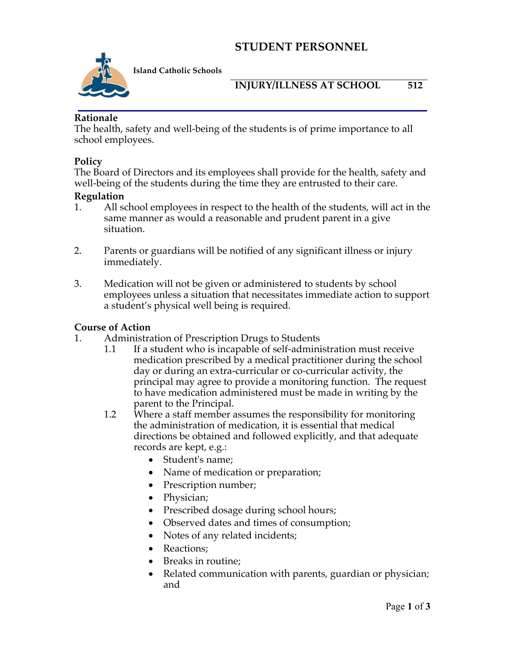# **STUDENT PERSONNEL**



**Island Catholic Schools** 

### **INJURY/ILLNESS AT SCHOOL 512**

#### **Rationale**

The health, safety and well-being of the students is of prime importance to all school employees.

#### **Policy**

The Board of Directors and its employees shall provide for the health, safety and well-being of the students during the time they are entrusted to their care.

#### **Regulation**

- 1. All school employees in respect to the health of the students, will act in the same manner as would a reasonable and prudent parent in a give situation.
- 2. Parents or guardians will be notified of any significant illness or injury immediately.
- 3. Medication will not be given or administered to students by school employees unless a situation that necessitates immediate action to support a student's physical well being is required.

#### **Course of Action**

- 1. Administration of Prescription Drugs to Students
	- 1.1 If a student who is incapable of self-administration must receive medication prescribed by a medical practitioner during the school day or during an extra-curricular or co-curricular activity, the principal may agree to provide a monitoring function. The request to have medication administered must be made in writing by the parent to the Principal.
	- 1.2 Where a staff member assumes the responsibility for monitoring the administration of medication, it is essential that medical directions be obtained and followed explicitly, and that adequate records are kept, e.g.:
		- Student's name;
		- Name of medication or preparation;
		- Prescription number;
		- Physician;
		- Prescribed dosage during school hours;
		- Observed dates and times of consumption;
		- Notes of any related incidents;
		- Reactions:
		- Breaks in routine;
		- Related communication with parents, guardian or physician; and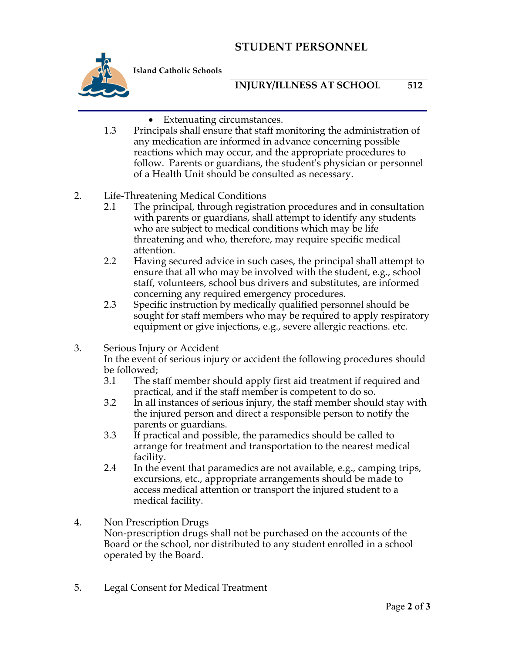# **STUDENT PERSONNEL**



**Island Catholic Schools** 

### **INJURY/ILLNESS AT SCHOOL 512**

- Extenuating circumstances.
- 1.3 Principals shall ensure that staff monitoring the administration of any medication are informed in advance concerning possible reactions which may occur, and the appropriate procedures to follow. Parents or guardians, the student's physician or personnel of a Health Unit should be consulted as necessary.
- 2. Life-Threatening Medical Conditions
	- 2.1 The principal, through registration procedures and in consultation with parents or guardians, shall attempt to identify any students who are subject to medical conditions which may be life threatening and who, therefore, may require specific medical attention.
	- 2.2 Having secured advice in such cases, the principal shall attempt to ensure that all who may be involved with the student, e.g., school staff, volunteers, school bus drivers and substitutes, are informed concerning any required emergency procedures.
	- 2.3 Specific instruction by medically qualified personnel should be sought for staff members who may be required to apply respiratory equipment or give injections, e.g., severe allergic reactions. etc.
- 3. Serious Injury or Accident

In the event of serious injury or accident the following procedures should be followed;<br>3.1 The st

- The staff member should apply first aid treatment if required and practical, and if the staff member is competent to do so.
- 3.2 In all instances of serious injury, the staff member should stay with the injured person and direct a responsible person to notify the parents or guardians.
- 3.3 If practical and possible, the paramedics should be called to arrange for treatment and transportation to the nearest medical facility.
- 2.4 In the event that paramedics are not available, e.g., camping trips, excursions, etc., appropriate arrangements should be made to access medical attention or transport the injured student to a medical facility.
- 4. Non Prescription Drugs Non-prescription drugs shall not be purchased on the accounts of the Board or the school, nor distributed to any student enrolled in a school operated by the Board.
- 5. Legal Consent for Medical Treatment